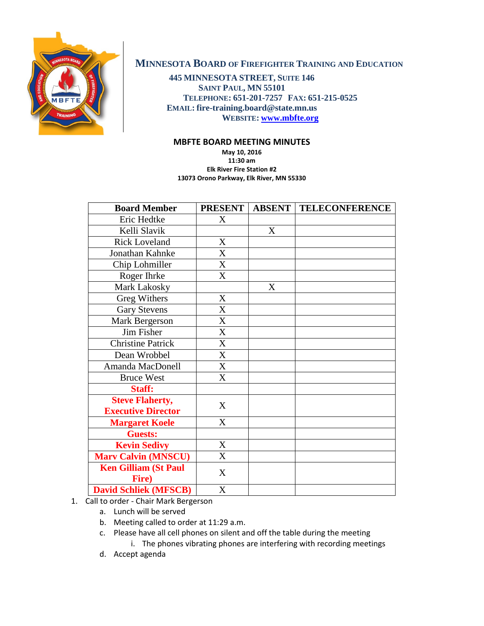

## **MINNESOTA BOARD OF FIREFIGHTER TRAINING AND EDUCATION**

**445 MINNESOTA STREET, SUITE 146 SAINT PAUL, MN 55101 TELEPHONE: 651-201-7257 FAX: 651-215-0525 EMAIL: fire-training.board@state.mn.us WEBSITE: [www.mbfte.org](http://www.mbfte.org/)**

## **MBFTE BOARD MEETING MINUTES**

**May 10, 2016 11:30 am Elk River Fire Station #2 13073 Orono Parkway, Elk River, MN 55330**

| <b>Board Member</b>                  | <b>PRESENT</b> | <b>ABSENT</b> | <b>TELECONFERENCE</b> |
|--------------------------------------|----------------|---------------|-----------------------|
| Eric Hedtke                          | X              |               |                       |
| Kelli Slavik                         |                | X             |                       |
| <b>Rick Loveland</b>                 | X              |               |                       |
| Jonathan Kahnke                      | $\mathbf{X}$   |               |                       |
| Chip Lohmiller                       | X              |               |                       |
| Roger Ihrke                          | X              |               |                       |
| Mark Lakosky                         |                | X             |                       |
| <b>Greg Withers</b>                  | X              |               |                       |
| <b>Gary Stevens</b>                  | X              |               |                       |
| Mark Bergerson                       | X              |               |                       |
| Jim Fisher                           | X              |               |                       |
| <b>Christine Patrick</b>             | X              |               |                       |
| Dean Wrobbel                         | X              |               |                       |
| Amanda MacDonell                     | X              |               |                       |
| <b>Bruce West</b>                    | $\overline{X}$ |               |                       |
| Staff:                               |                |               |                       |
| <b>Steve Flaherty,</b>               | X              |               |                       |
| <b>Executive Director</b>            |                |               |                       |
| <b>Margaret Koele</b>                | X              |               |                       |
| <b>Guests:</b>                       |                |               |                       |
| <b>Kevin Sedivy</b>                  | X              |               |                       |
| <b>Marv Calvin (MNSCU)</b>           | X              |               |                       |
| <b>Ken Gilliam (St Paul</b><br>Fire) | X              |               |                       |
| <b>David Schliek (MFSCB)</b>         | X              |               |                       |

- 1. Call to order Chair Mark Bergerson
	- a. Lunch will be served
	- b. Meeting called to order at 11:29 a.m.
	- c. Please have all cell phones on silent and off the table during the meeting
		- i. The phones vibrating phones are interfering with recording meetings
	- d. Accept agenda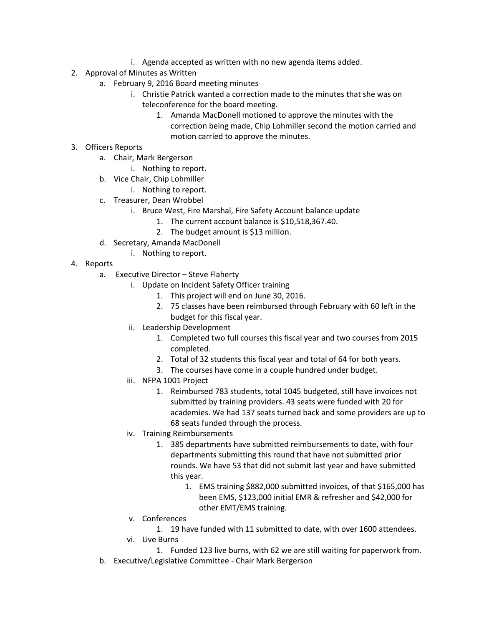- i. Agenda accepted as written with no new agenda items added.
- 2. Approval of Minutes as Written
	- a. February 9, 2016 Board meeting minutes
		- i. Christie Patrick wanted a correction made to the minutes that she was on teleconference for the board meeting.
			- 1. Amanda MacDonell motioned to approve the minutes with the correction being made, Chip Lohmiller second the motion carried and motion carried to approve the minutes.
- 3. Officers Reports
	- a. Chair, Mark Bergerson
		- i. Nothing to report.
	- b. Vice Chair, Chip Lohmiller
		- i. Nothing to report.
	- c. Treasurer, Dean Wrobbel
		- i. Bruce West, Fire Marshal, Fire Safety Account balance update
			- 1. The current account balance is \$10,518,367.40.
			- 2. The budget amount is \$13 million.
	- d. Secretary, Amanda MacDonell
		- i. Nothing to report.
- 4. Reports
	- a. Executive Director Steve Flaherty
		- i. Update on Incident Safety Officer training
			- 1. This project will end on June 30, 2016.
			- 2. 75 classes have been reimbursed through February with 60 left in the budget for this fiscal year.
		- ii. Leadership Development
			- 1. Completed two full courses this fiscal year and two courses from 2015 completed.
			- 2. Total of 32 students this fiscal year and total of 64 for both years.
			- 3. The courses have come in a couple hundred under budget.
		- iii. NFPA 1001 Project
			- 1. Reimbursed 783 students, total 1045 budgeted, still have invoices not submitted by training providers. 43 seats were funded with 20 for academies. We had 137 seats turned back and some providers are up to 68 seats funded through the process.
		- iv. Training Reimbursements
			- 1. 385 departments have submitted reimbursements to date, with four departments submitting this round that have not submitted prior rounds. We have 53 that did not submit last year and have submitted this year.
				- 1. EMS training \$882,000 submitted invoices, of that \$165,000 has been EMS, \$123,000 initial EMR & refresher and \$42,000 for other EMT/EMS training.
		- v. Conferences
			- 1. 19 have funded with 11 submitted to date, with over 1600 attendees.
		- vi. Live Burns
	- 1. Funded 123 live burns, with 62 we are still waiting for paperwork from. b. Executive/Legislative Committee - Chair Mark Bergerson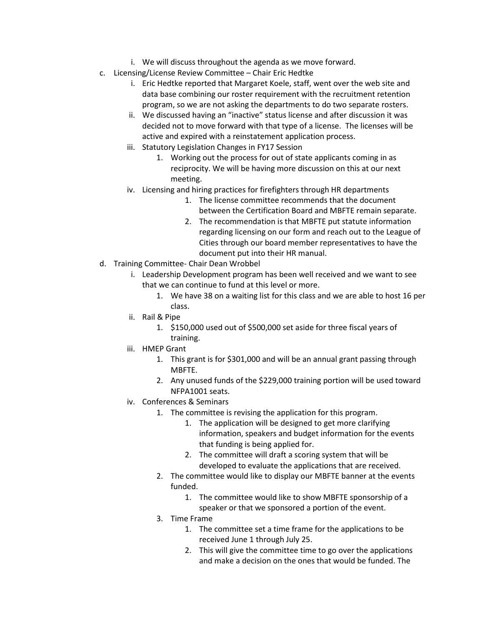- i. We will discuss throughout the agenda as we move forward.
- c. Licensing/License Review Committee Chair Eric Hedtke
	- i. Eric Hedtke reported that Margaret Koele, staff, went over the web site and data base combining our roster requirement with the recruitment retention program, so we are not asking the departments to do two separate rosters.
	- ii. We discussed having an "inactive" status license and after discussion it was decided not to move forward with that type of a license. The licenses will be active and expired with a reinstatement application process.
	- iii. Statutory Legislation Changes in FY17 Session
		- 1. Working out the process for out of state applicants coming in as reciprocity. We will be having more discussion on this at our next meeting.
	- iv. Licensing and hiring practices for firefighters through HR departments
		- 1. The license committee recommends that the document between the Certification Board and MBFTE remain separate.
		- 2. The recommendation is that MBFTE put statute information regarding licensing on our form and reach out to the League of Cities through our board member representatives to have the document put into their HR manual.
- d. Training Committee- Chair Dean Wrobbel
	- i. Leadership Development program has been well received and we want to see that we can continue to fund at this level or more.
		- 1. We have 38 on a waiting list for this class and we are able to host 16 per class.
	- ii. Rail & Pipe
		- 1. \$150,000 used out of \$500,000 set aside for three fiscal years of training.
	- iii. HMEP Grant
		- 1. This grant is for \$301,000 and will be an annual grant passing through MBFTE.
		- 2. Any unused funds of the \$229,000 training portion will be used toward NFPA1001 seats.
	- iv. Conferences & Seminars
		- 1. The committee is revising the application for this program.
			- 1. The application will be designed to get more clarifying information, speakers and budget information for the events that funding is being applied for.
			- 2. The committee will draft a scoring system that will be developed to evaluate the applications that are received.
		- 2. The committee would like to display our MBFTE banner at the events funded.
			- 1. The committee would like to show MBFTE sponsorship of a speaker or that we sponsored a portion of the event.
		- 3. Time Frame
			- 1. The committee set a time frame for the applications to be received June 1 through July 25.
			- 2. This will give the committee time to go over the applications and make a decision on the ones that would be funded. The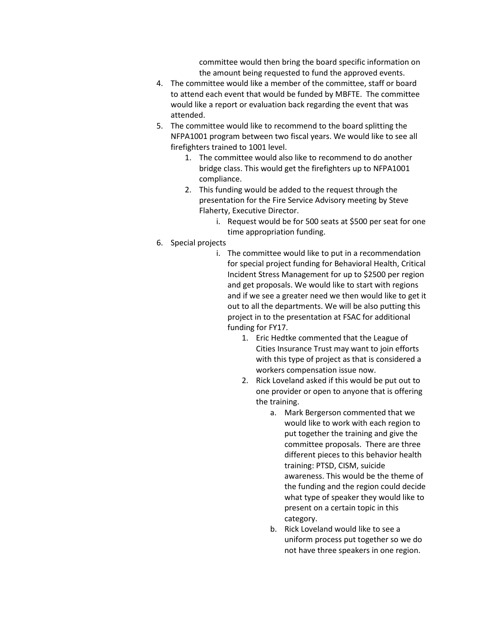committee would then bring the board specific information on the amount being requested to fund the approved events.

- 4. The committee would like a member of the committee, staff or board to attend each event that would be funded by MBFTE. The committee would like a report or evaluation back regarding the event that was attended.
- 5. The committee would like to recommend to the board splitting the NFPA1001 program between two fiscal years. We would like to see all firefighters trained to 1001 level.
	- 1. The committee would also like to recommend to do another bridge class. This would get the firefighters up to NFPA1001 compliance.
	- 2. This funding would be added to the request through the presentation for the Fire Service Advisory meeting by Steve Flaherty, Executive Director.
		- i. Request would be for 500 seats at \$500 per seat for one time appropriation funding.
- 6. Special projects
	- i. The committee would like to put in a recommendation for special project funding for Behavioral Health, Critical Incident Stress Management for up to \$2500 per region and get proposals. We would like to start with regions and if we see a greater need we then would like to get it out to all the departments. We will be also putting this project in to the presentation at FSAC for additional funding for FY17.
		- 1. Eric Hedtke commented that the League of Cities Insurance Trust may want to join efforts with this type of project as that is considered a workers compensation issue now.
		- 2. Rick Loveland asked if this would be put out to one provider or open to anyone that is offering the training.
			- a. Mark Bergerson commented that we would like to work with each region to put together the training and give the committee proposals. There are three different pieces to this behavior health training: PTSD, CISM, suicide awareness. This would be the theme of the funding and the region could decide what type of speaker they would like to present on a certain topic in this category.
			- b. Rick Loveland would like to see a uniform process put together so we do not have three speakers in one region.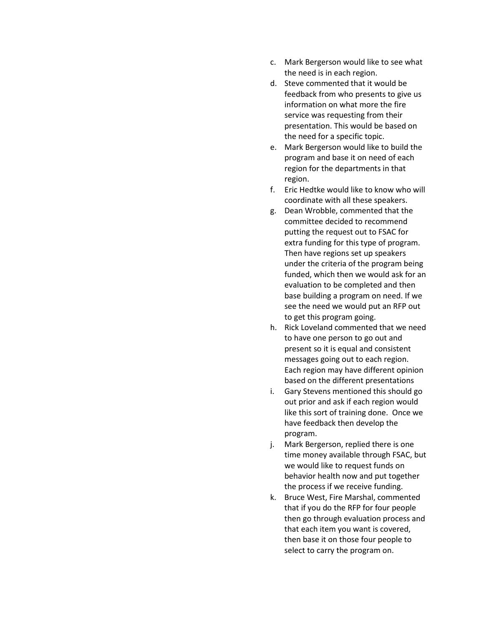- c. Mark Bergerson would like to see what the need is in each region.
- d. Steve commented that it would be feedback from who presents to give us information on what more the fire service was requesting from their presentation. This would be based on the need for a specific topic.
- e. Mark Bergerson would like to build the program and base it on need of each region for the departments in that region.
- f. Eric Hedtke would like to know who will coordinate with all these speakers.
- g. Dean Wrobble, commented that the committee decided to recommend putting the request out to FSAC for extra funding for this type of program. Then have regions set up speakers under the criteria of the program being funded, which then we would ask for an evaluation to be completed and then base building a program on need. If we see the need we would put an RFP out to get this program going.
- h. Rick Loveland commented that we need to have one person to go out and present so it is equal and consistent messages going out to each region. Each region may have different opinion based on the different presentations
- i. Gary Stevens mentioned this should go out prior and ask if each region would like this sort of training done. Once we have feedback then develop the program.
- j. Mark Bergerson, replied there is one time money available through FSAC, but we would like to request funds on behavior health now and put together the process if we receive funding.
- k. Bruce West, Fire Marshal, commented that if you do the RFP for four people then go through evaluation process and that each item you want is covered, then base it on those four people to select to carry the program on.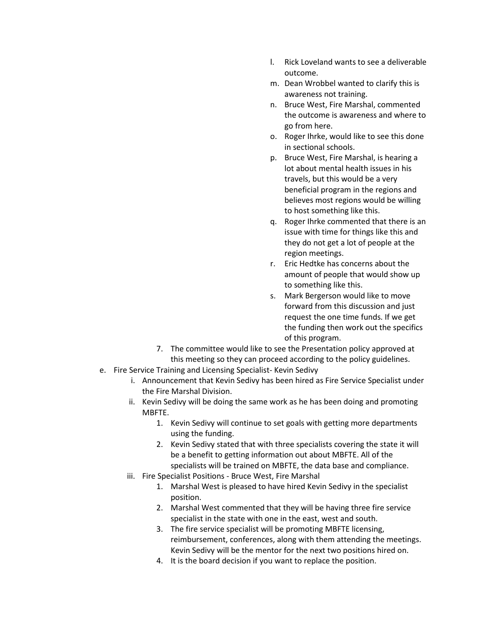- l. Rick Loveland wants to see a deliverable outcome.
- m. Dean Wrobbel wanted to clarify this is awareness not training.
- n. Bruce West, Fire Marshal, commented the outcome is awareness and where to go from here.
- o. Roger Ihrke, would like to see this done in sectional schools.
- p. Bruce West, Fire Marshal, is hearing a lot about mental health issues in his travels, but this would be a very beneficial program in the regions and believes most regions would be willing to host something like this.
- q. Roger Ihrke commented that there is an issue with time for things like this and they do not get a lot of people at the region meetings.
- r. Eric Hedtke has concerns about the amount of people that would show up to something like this.
- s. Mark Bergerson would like to move forward from this discussion and just request the one time funds. If we get the funding then work out the specifics of this program.
- 7. The committee would like to see the Presentation policy approved at this meeting so they can proceed according to the policy guidelines.
- e. Fire Service Training and Licensing Specialist- Kevin Sedivy
	- i. Announcement that Kevin Sedivy has been hired as Fire Service Specialist under the Fire Marshal Division.
	- ii. Kevin Sedivy will be doing the same work as he has been doing and promoting MBFTE.
		- 1. Kevin Sedivy will continue to set goals with getting more departments using the funding.
		- 2. Kevin Sedivy stated that with three specialists covering the state it will be a benefit to getting information out about MBFTE. All of the specialists will be trained on MBFTE, the data base and compliance.
	- iii. Fire Specialist Positions Bruce West, Fire Marshal
		- 1. Marshal West is pleased to have hired Kevin Sedivy in the specialist position.
		- 2. Marshal West commented that they will be having three fire service specialist in the state with one in the east, west and south.
		- 3. The fire service specialist will be promoting MBFTE licensing, reimbursement, conferences, along with them attending the meetings. Kevin Sedivy will be the mentor for the next two positions hired on.
		- 4. It is the board decision if you want to replace the position.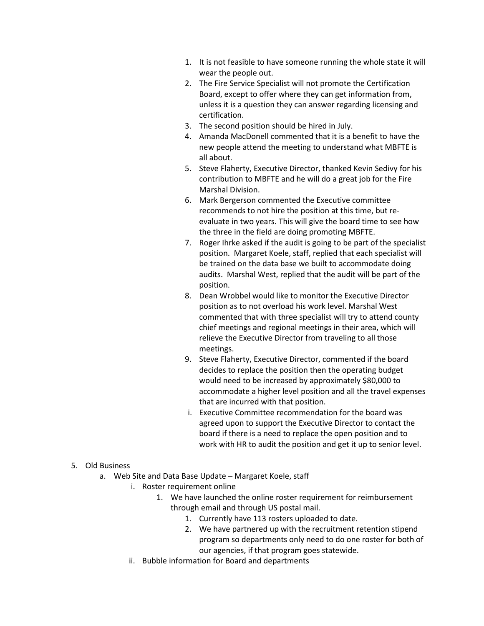- 1. It is not feasible to have someone running the whole state it will wear the people out.
- 2. The Fire Service Specialist will not promote the Certification Board, except to offer where they can get information from, unless it is a question they can answer regarding licensing and certification.
- 3. The second position should be hired in July.
- 4. Amanda MacDonell commented that it is a benefit to have the new people attend the meeting to understand what MBFTE is all about.
- 5. Steve Flaherty, Executive Director, thanked Kevin Sedivy for his contribution to MBFTE and he will do a great job for the Fire Marshal Division.
- 6. Mark Bergerson commented the Executive committee recommends to not hire the position at this time, but reevaluate in two years. This will give the board time to see how the three in the field are doing promoting MBFTE.
- 7. Roger Ihrke asked if the audit is going to be part of the specialist position. Margaret Koele, staff, replied that each specialist will be trained on the data base we built to accommodate doing audits. Marshal West, replied that the audit will be part of the position.
- 8. Dean Wrobbel would like to monitor the Executive Director position as to not overload his work level. Marshal West commented that with three specialist will try to attend county chief meetings and regional meetings in their area, which will relieve the Executive Director from traveling to all those meetings.
- 9. Steve Flaherty, Executive Director, commented if the board decides to replace the position then the operating budget would need to be increased by approximately \$80,000 to accommodate a higher level position and all the travel expenses that are incurred with that position.
- i. Executive Committee recommendation for the board was agreed upon to support the Executive Director to contact the board if there is a need to replace the open position and to work with HR to audit the position and get it up to senior level.
- 5. Old Business
	- a. Web Site and Data Base Update Margaret Koele, staff
		- i. Roster requirement online
			- 1. We have launched the online roster requirement for reimbursement through email and through US postal mail.
				- 1. Currently have 113 rosters uploaded to date.
				- 2. We have partnered up with the recruitment retention stipend program so departments only need to do one roster for both of our agencies, if that program goes statewide.
		- ii. Bubble information for Board and departments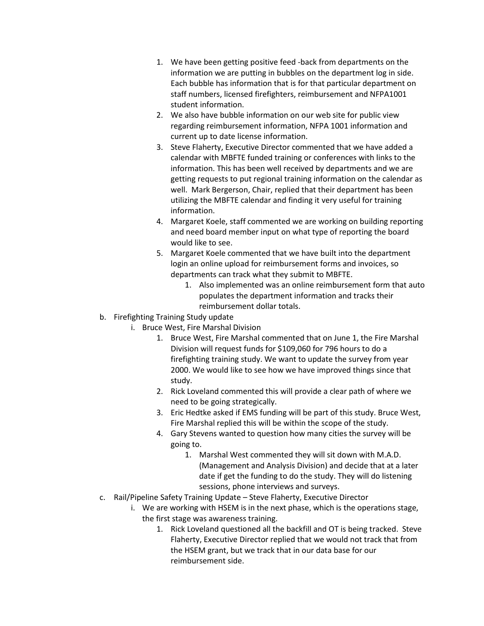- 1. We have been getting positive feed -back from departments on the information we are putting in bubbles on the department log in side. Each bubble has information that is for that particular department on staff numbers, licensed firefighters, reimbursement and NFPA1001 student information.
- 2. We also have bubble information on our web site for public view regarding reimbursement information, NFPA 1001 information and current up to date license information.
- 3. Steve Flaherty, Executive Director commented that we have added a calendar with MBFTE funded training or conferences with links to the information. This has been well received by departments and we are getting requests to put regional training information on the calendar as well. Mark Bergerson, Chair, replied that their department has been utilizing the MBFTE calendar and finding it very useful for training information.
- 4. Margaret Koele, staff commented we are working on building reporting and need board member input on what type of reporting the board would like to see.
- 5. Margaret Koele commented that we have built into the department login an online upload for reimbursement forms and invoices, so departments can track what they submit to MBFTE.
	- 1. Also implemented was an online reimbursement form that auto populates the department information and tracks their reimbursement dollar totals.
- b. Firefighting Training Study update
	- i. Bruce West, Fire Marshal Division
		- 1. Bruce West, Fire Marshal commented that on June 1, the Fire Marshal Division will request funds for \$109,060 for 796 hours to do a firefighting training study. We want to update the survey from year 2000. We would like to see how we have improved things since that study.
		- 2. Rick Loveland commented this will provide a clear path of where we need to be going strategically.
		- 3. Eric Hedtke asked if EMS funding will be part of this study. Bruce West, Fire Marshal replied this will be within the scope of the study.
		- 4. Gary Stevens wanted to question how many cities the survey will be going to.
			- 1. Marshal West commented they will sit down with M.A.D. (Management and Analysis Division) and decide that at a later date if get the funding to do the study. They will do listening sessions, phone interviews and surveys.
- c. Rail/Pipeline Safety Training Update Steve Flaherty, Executive Director
	- i. We are working with HSEM is in the next phase, which is the operations stage, the first stage was awareness training.
		- 1. Rick Loveland questioned all the backfill and OT is being tracked. Steve Flaherty, Executive Director replied that we would not track that from the HSEM grant, but we track that in our data base for our reimbursement side.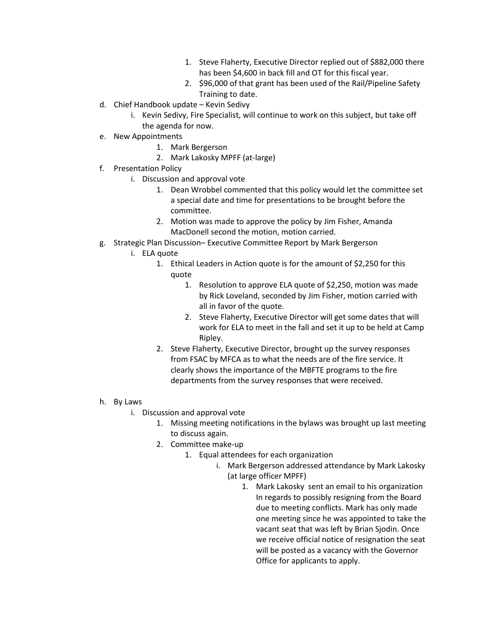- 1. Steve Flaherty, Executive Director replied out of \$882,000 there has been \$4,600 in back fill and OT for this fiscal year.
- 2. \$96,000 of that grant has been used of the Rail/Pipeline Safety Training to date.
- d. Chief Handbook update Kevin Sedivy
	- i. Kevin Sedivy, Fire Specialist, will continue to work on this subject, but take off the agenda for now.
- e. New Appointments
	- 1. Mark Bergerson
	- 2. Mark Lakosky MPFF (at-large)
- f. Presentation Policy
	- i. Discussion and approval vote
		- 1. Dean Wrobbel commented that this policy would let the committee set a special date and time for presentations to be brought before the committee.
		- 2. Motion was made to approve the policy by Jim Fisher, Amanda MacDonell second the motion, motion carried.
- g. Strategic Plan Discussion– Executive Committee Report by Mark Bergerson
	- i. ELA quote
		- 1. Ethical Leaders in Action quote is for the amount of \$2,250 for this quote
			- 1. Resolution to approve ELA quote of \$2,250, motion was made by Rick Loveland, seconded by Jim Fisher, motion carried with all in favor of the quote.
			- 2. Steve Flaherty, Executive Director will get some dates that will work for ELA to meet in the fall and set it up to be held at Camp Ripley.
		- 2. Steve Flaherty, Executive Director, brought up the survey responses from FSAC by MFCA as to what the needs are of the fire service. It clearly shows the importance of the MBFTE programs to the fire departments from the survey responses that were received.
- h. By Laws
	- i. Discussion and approval vote
		- 1. Missing meeting notifications in the bylaws was brought up last meeting to discuss again.
		- 2. Committee make-up
			- 1. Equal attendees for each organization
				- i. Mark Bergerson addressed attendance by Mark Lakosky (at large officer MPFF)
					- 1. Mark Lakosky sent an email to his organization In regards to possibly resigning from the Board due to meeting conflicts. Mark has only made one meeting since he was appointed to take the vacant seat that was left by Brian Sjodin. Once we receive official notice of resignation the seat will be posted as a vacancy with the Governor Office for applicants to apply.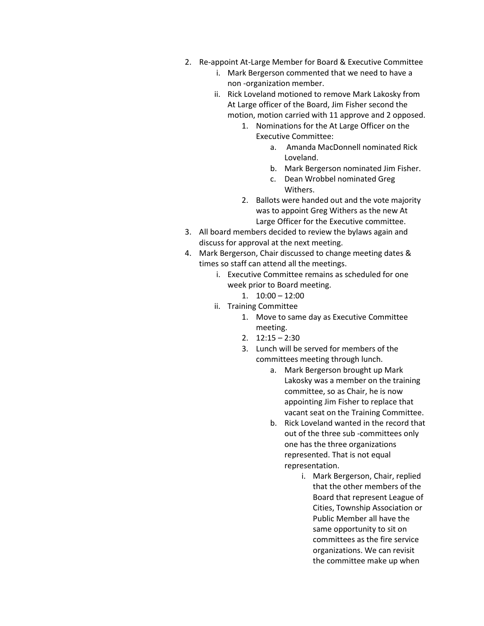- 2. Re-appoint At-Large Member for Board & Executive Committee
	- i. Mark Bergerson commented that we need to have a non -organization member.
	- ii. Rick Loveland motioned to remove Mark Lakosky from At Large officer of the Board, Jim Fisher second the motion, motion carried with 11 approve and 2 opposed.
		- 1. Nominations for the At Large Officer on the Executive Committee:
			- a. Amanda MacDonnell nominated Rick Loveland.
			- b. Mark Bergerson nominated Jim Fisher.
			- c. Dean Wrobbel nominated Greg Withers.
		- 2. Ballots were handed out and the vote majority was to appoint Greg Withers as the new At Large Officer for the Executive committee.
- 3. All board members decided to review the bylaws again and discuss for approval at the next meeting.
- 4. Mark Bergerson, Chair discussed to change meeting dates & times so staff can attend all the meetings.
	- i. Executive Committee remains as scheduled for one week prior to Board meeting.
		- 1. 10:00 12:00
	- ii. Training Committee
		- 1. Move to same day as Executive Committee meeting.
		- 2.  $12:15 2:30$
		- 3. Lunch will be served for members of the committees meeting through lunch.
			- a. Mark Bergerson brought up Mark Lakosky was a member on the training committee, so as Chair, he is now appointing Jim Fisher to replace that vacant seat on the Training Committee.
			- b. Rick Loveland wanted in the record that out of the three sub -committees only one has the three organizations represented. That is not equal representation.
				- i. Mark Bergerson, Chair, replied that the other members of the Board that represent League of Cities, Township Association or Public Member all have the same opportunity to sit on committees as the fire service organizations. We can revisit the committee make up when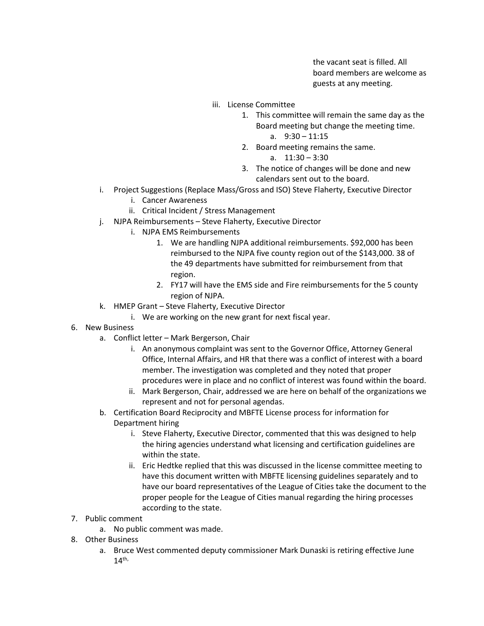the vacant seat is filled. All board members are welcome as guests at any meeting.

- iii. License Committee
	- 1. This committee will remain the same day as the Board meeting but change the meeting time. a. 9:30 – 11:15
	- 2. Board meeting remains the same.
		- a. 11:30 3:30
	- 3. The notice of changes will be done and new calendars sent out to the board.
- i. Project Suggestions (Replace Mass/Gross and ISO) Steve Flaherty, Executive Director
	- i. Cancer Awareness
	- ii. Critical Incident / Stress Management
- j. NJPA Reimbursements Steve Flaherty, Executive Director
	- i. NJPA EMS Reimbursements
		- 1. We are handling NJPA additional reimbursements. \$92,000 has been reimbursed to the NJPA five county region out of the \$143,000. 38 of the 49 departments have submitted for reimbursement from that region.
		- 2. FY17 will have the EMS side and Fire reimbursements for the 5 county region of NJPA.
- k. HMEP Grant Steve Flaherty, Executive Director
	- i. We are working on the new grant for next fiscal year.
- 6. New Business
	- a. Conflict letter Mark Bergerson, Chair
		- i. An anonymous complaint was sent to the Governor Office, Attorney General Office, Internal Affairs, and HR that there was a conflict of interest with a board member. The investigation was completed and they noted that proper procedures were in place and no conflict of interest was found within the board.
		- ii. Mark Bergerson, Chair, addressed we are here on behalf of the organizations we represent and not for personal agendas.
	- b. Certification Board Reciprocity and MBFTE License process for information for Department hiring
		- i. Steve Flaherty, Executive Director, commented that this was designed to help the hiring agencies understand what licensing and certification guidelines are within the state.
		- ii. Eric Hedtke replied that this was discussed in the license committee meeting to have this document written with MBFTE licensing guidelines separately and to have our board representatives of the League of Cities take the document to the proper people for the League of Cities manual regarding the hiring processes according to the state.
- 7. Public comment
	- a. No public comment was made.
- 8. Other Business
	- a. Bruce West commented deputy commissioner Mark Dunaski is retiring effective June  $14^{\text{th}}$